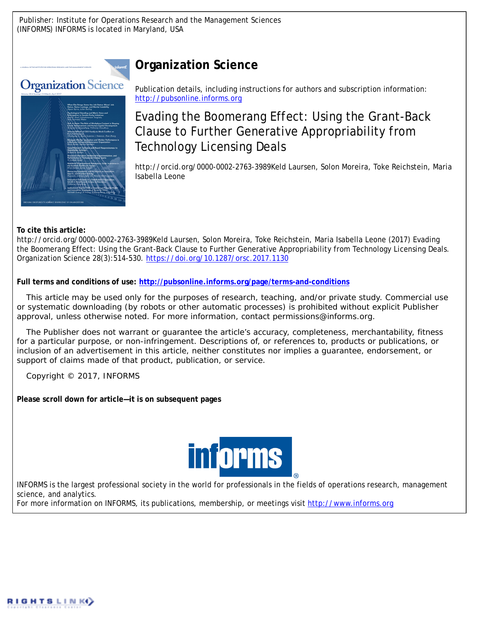Publisher: Institute for Operations Research and the Management Sciences (INFORMS) INFORMS is located in Maryland, USA



# **Organization Science**



## **Organization Science**

Publication details, including instructions for authors and subscription information: <http://pubsonline.informs.org>

## Evading the Boomerang Effect: Using the Grant-Back Clause to Further Generative Appropriability from Technology Licensing Deals

http://orcid.org/0000-0002-2763-3989Keld Laursen, Solon Moreira, Toke Reichstein, Maria Isabella Leone

**To cite this article:**

http://orcid.org/0000-0002-2763-3989Keld Laursen, Solon Moreira, Toke Reichstein, Maria Isabella Leone (2017) Evading the Boomerang Effect: Using the Grant-Back Clause to Further Generative Appropriability from Technology Licensing Deals. Organization Science 28(3):514-530. <https://doi.org/10.1287/orsc.2017.1130>

**Full terms and conditions of use: <http://pubsonline.informs.org/page/terms-and-conditions>**

This article may be used only for the purposes of research, teaching, and/or private study. Commercial use or systematic downloading (by robots or other automatic processes) is prohibited without explicit Publisher approval, unless otherwise noted. For more information, contact permissions@informs.org.

The Publisher does not warrant or guarantee the article's accuracy, completeness, merchantability, fitness for a particular purpose, or non-infringement. Descriptions of, or references to, products or publications, or inclusion of an advertisement in this article, neither constitutes nor implies a guarantee, endorsement, or support of claims made of that product, publication, or service.

Copyright © 2017, INFORMS

**Please scroll down for article—it is on subsequent pages**



INFORMS is the largest professional society in the world for professionals in the fields of operations research, management science, and analytics.

For more information on INFORMS, its publications, membership, or meetings visit <http://www.informs.org>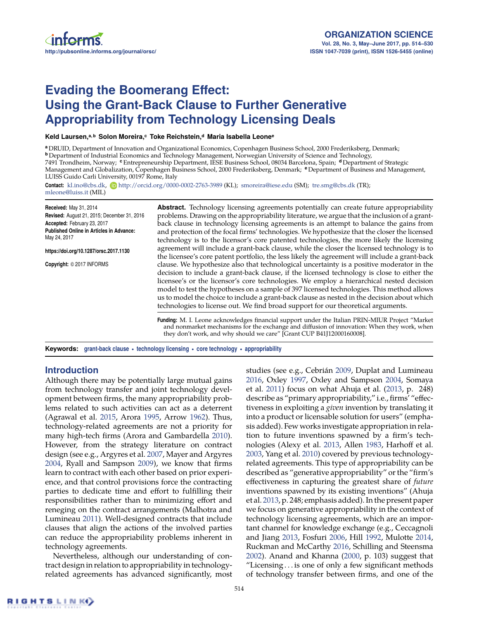## **Evading the Boomerang Effect: Using the Grant-Back Clause to Further Generative Appropriability from Technology Licensing Deals**

**Keld Laursen,a, b Solon Moreira,<sup>c</sup> Toke Reichstein,<sup>d</sup> Maria Isabella Leone<sup>e</sup>**

**<sup>a</sup>** DRUID, Department of Innovation and Organizational Economics, Copenhagen Business School, 2000 Frederiksberg, Denmark; **<sup>b</sup>** Department of Industrial Economics and Technology Management, Norwegian University of Science and Technology, 7491 Trondheim, Norway; **<sup>c</sup>** Entrepreneurship Department, IESE Business School, 08034 Barcelona, Spain; **<sup>d</sup>** Department of Strategic Management and Globalization, Copenhagen Business School, 2000 Frederiksberg, Denmark; **<sup>e</sup>** Department of Business and Management, LUISS Guido Carli University, 00197 Rome, Italy

Contact: [kl.ino@cbs.dk,](mailto:kl.ino@cbs.dk) **<http://orcid.org/0000-0002-2763-3989> (KL);** [smoreira@iese.edu](mailto:smoreira@iese.edu) (SM); [tre.smg@cbs.dk](mailto:tre.smg@cbs.dk) (TR); [mleone@luiss.it](mailto:mleone@luiss.it) (MIL)

| <b>Received: May 31, 2014</b><br>Revised: August 21, 2015; December 31, 2016<br>Accepted: February 23, 2017<br><b>Published Online in Articles in Advance:</b><br>May 24, 2017<br>https://doi.org/10.1287/orsc.2017.1130 | <b>Abstract.</b> Technology licensing agreements potentially can create future appropriability<br>problems. Drawing on the appropriability literature, we argue that the inclusion of a grant-<br>back clause in technology licensing agreements is an attempt to balance the gains from<br>and protection of the focal firms' technologies. We hypothesize that the closer the licensed<br>technology is to the licensor's core patented technologies, the more likely the licensing<br>agreement will include a grant-back clause, while the closer the licensed technology is to                                                                                   |
|--------------------------------------------------------------------------------------------------------------------------------------------------------------------------------------------------------------------------|-----------------------------------------------------------------------------------------------------------------------------------------------------------------------------------------------------------------------------------------------------------------------------------------------------------------------------------------------------------------------------------------------------------------------------------------------------------------------------------------------------------------------------------------------------------------------------------------------------------------------------------------------------------------------|
| Copyright: © 2017 INFORMS                                                                                                                                                                                                | the licensee's core patent portfolio, the less likely the agreement will include a grant-back<br>clause. We hypothesize also that technological uncertainty is a positive moderator in the<br>decision to include a grant-back clause, if the licensed technology is close to either the<br>licensee's or the licensor's core technologies. We employ a hierarchical nested decision<br>model to test the hypotheses on a sample of 397 licensed technologies. This method allows<br>us to model the choice to include a grant-back clause as nested in the decision about which<br>technologies to license out. We find broad support for our theoretical arguments. |
|                                                                                                                                                                                                                          | Funding: M. I. Leone acknowledges financial support under the Italian PRIN-MIUR Project "Market<br>and nonmarket mechanisms for the exchange and diffusion of innovation: When they work, when<br>they don't work, and why should we care" [Grant CUP B41]12000160008].                                                                                                                                                                                                                                                                                                                                                                                               |

**Keywords: grant-back clause • technology licensing • core technology • appropriability**

## **Introduction**

Although there may be potentially large mutual gains from technology transfer and joint technology development between firms, the many appropriability problems related to such activities can act as a deterrent (Agrawal et al. [2015,](#page-16-0) Arora [1995,](#page-16-1) Arrow [1962\)](#page-16-2). Thus, technology-related agreements are not a priority for many high-tech firms (Arora and Gambardella [2010\)](#page-16-3). However, from the strategy literature on contract design (see e.g., Argyres et al. [2007,](#page-16-4) Mayer and Argyres [2004,](#page-17-0) Ryall and Sampson [2009\)](#page-17-1), we know that firms learn to contract with each other based on prior experience, and that control provisions force the contracting parties to dedicate time and effort to fulfilling their responsibilities rather than to minimizing effort and reneging on the contract arrangements (Malhotra and Lumineau [2011\)](#page-17-2). Well-designed contracts that include clauses that align the actions of the involved parties can reduce the appropriability problems inherent in technology agreements.

Nevertheless, although our understanding of contract design in relation to appropriability in technologyrelated agreements has advanced significantly, most studies (see e.g., Cebrián [2009,](#page-16-5) Duplat and Lumineau [2016,](#page-16-6) Oxley [1997,](#page-17-3) Oxley and Sampson [2004,](#page-17-4) Somaya et al. [2011\)](#page-17-5) focus on what Ahuja et al. [\(2013,](#page-16-7) p. 248) describe as "primary appropriability," i.e., firms' "effectiveness in exploiting a *given* invention by translating it into a product or licensable solution for users" (emphasis added). Few works investigate appropriation in relation to future inventions spawned by a firm's technologies (Alexy et al. [2013,](#page-16-8) Allen [1983,](#page-16-9) Harhoff et al. [2003,](#page-16-10) Yang et al. [2010\)](#page-17-6) covered by previous technologyrelated agreements. This type of appropriability can be described as "generative appropriability" or the "firm's effectiveness in capturing the greatest share of *future* inventions spawned by its existing inventions" (Ahuja et al. [2013,](#page-16-7) p. 248; emphasis added). In the present paper we focus on generative appropriability in the context of technology licensing agreements, which are an important channel for knowledge exchange (e.g., Ceccagnoli and Jiang [2013,](#page-16-11) Fosfuri [2006,](#page-16-12) Hill [1992,](#page-16-13) Mulotte [2014,](#page-17-7) Ruckman and McCarthy [2016,](#page-17-8) Schilling and Steensma [2002\)](#page-17-9). Anand and Khanna [\(2000,](#page-16-14) p. 103) suggest that "Licensing . . . is one of only a few significant methods of technology transfer between firms, and one of the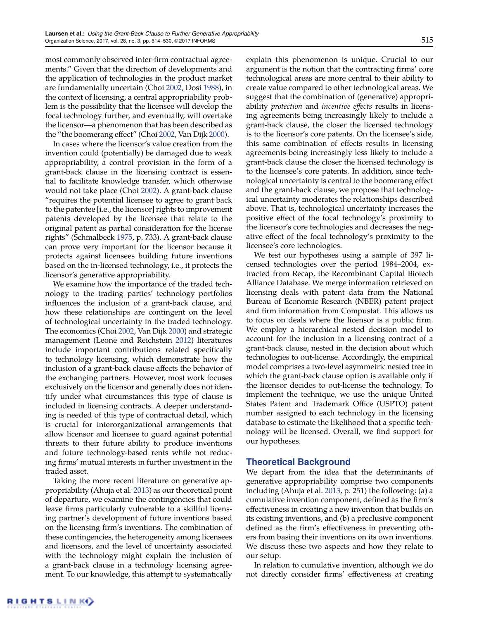most commonly observed inter-firm contractual agreements." Given that the direction of developments and the application of technologies in the product market are fundamentally uncertain (Choi [2002,](#page-16-15) Dosi [1988\)](#page-16-16), in the context of licensing, a central appropriability problem is the possibility that the licensee will develop the focal technology further, and eventually, will overtake the licensor—a phenomenon that has been described as the "the boomerang effect" (Choi [2002,](#page-16-15) Van Dijk [2000\)](#page-17-10).

In cases where the licensor's value creation from the invention could (potentially) be damaged due to weak appropriability, a control provision in the form of a grant-back clause in the licensing contract is essential to facilitate knowledge transfer, which otherwise would not take place (Choi [2002\)](#page-16-15). A grant-back clause "requires the potential licensee to agree to grant back to the patentee [i.e., the licensor] rights to improvement patents developed by the licensee that relate to the original patent as partial consideration for the license rights" (Schmalbeck [1975,](#page-17-11) p. 733). A grant-back clause can prove very important for the licensor because it protects against licensees building future inventions based on the in-licensed technology, i.e., it protects the licensor's generative appropriability.

We examine how the importance of the traded technology to the trading parties' technology portfolios influences the inclusion of a grant-back clause, and how these relationships are contingent on the level of technological uncertainty in the traded technology. The economics (Choi [2002,](#page-16-15) Van Dijk [2000\)](#page-17-10) and strategic management (Leone and Reichstein [2012\)](#page-17-12) literatures include important contributions related specifically to technology licensing, which demonstrate how the inclusion of a grant-back clause affects the behavior of the exchanging partners. However, most work focuses exclusively on the licensor and generally does not identify under what circumstances this type of clause is included in licensing contracts. A deeper understanding is needed of this type of contractual detail, which is crucial for interorganizational arrangements that allow licensor and licensee to guard against potential threats to their future ability to produce inventions and future technology-based rents while not reducing firms' mutual interests in further investment in the traded asset.

Taking the more recent literature on generative appropriability (Ahuja et al. [2013\)](#page-16-7) as our theoretical point of departure, we examine the contingencies that could leave firms particularly vulnerable to a skillful licensing partner's development of future inventions based on the licensing firm's inventions. The combination of these contingencies, the heterogeneity among licensees and licensors, and the level of uncertainty associated with the technology might explain the inclusion of a grant-back clause in a technology licensing agreement. To our knowledge, this attempt to systematically explain this phenomenon is unique. Crucial to our argument is the notion that the contracting firms' core technological areas are more central to their ability to create value compared to other technological areas. We suggest that the combination of (generative) appropriability *protection* and *incentive effects* results in licensing agreements being increasingly likely to include a grant-back clause, the closer the licensed technology is to the licensor's core patents. On the licensee's side, this same combination of effects results in licensing agreements being increasingly less likely to include a grant-back clause the closer the licensed technology is to the licensee's core patents. In addition, since technological uncertainty is central to the boomerang effect and the grant-back clause, we propose that technological uncertainty moderates the relationships described above. That is, technological uncertainty increases the positive effect of the focal technology's proximity to the licensor's core technologies and decreases the negative effect of the focal technology's proximity to the licensee's core technologies.

We test our hypotheses using a sample of 397 licensed technologies over the period 1984–2004, extracted from Recap, the Recombinant Capital Biotech Alliance Database. We merge information retrieved on licensing deals with patent data from the National Bureau of Economic Research (NBER) patent project and firm information from Compustat. This allows us to focus on deals where the licensor is a public firm. We employ a hierarchical nested decision model to account for the inclusion in a licensing contract of a grant-back clause, nested in the decision about which technologies to out-license. Accordingly, the empirical model comprises a two-level asymmetric nested tree in which the grant-back clause option is available only if the licensor decides to out-license the technology. To implement the technique, we use the unique United States Patent and Trademark Office (USPTO) patent number assigned to each technology in the licensing database to estimate the likelihood that a specific technology will be licensed. Overall, we find support for our hypotheses.

## **Theoretical Background**

We depart from the idea that the determinants of generative appropriability comprise two components including (Ahuja et al. [2013,](#page-16-7) p. 251) the following: (a) a cumulative invention component, defined as the firm's effectiveness in creating a new invention that builds on its existing inventions, and (b) a preclusive component defined as the firm's effectiveness in preventing others from basing their inventions on its own inventions. We discuss these two aspects and how they relate to our setup.

In relation to cumulative invention, although we do not directly consider firms' effectiveness at creating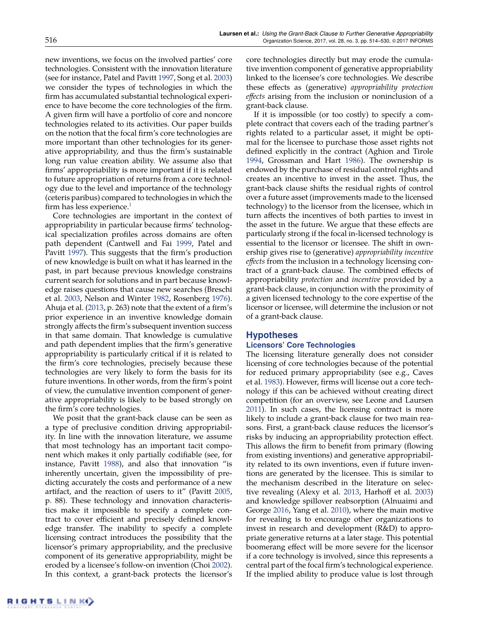new inventions, we focus on the involved parties' core technologies. Consistent with the innovation literature (see for instance, Patel and Pavitt [1997,](#page-17-13) Song et al. [2003\)](#page-17-14) we consider the types of technologies in which the firm has accumulated substantial technological experience to have become the core technologies of the firm. A given firm will have a portfolio of core and noncore technologies related to its activities. Our paper builds on the notion that the focal firm's core technologies are more important than other technologies for its generative appropriability, and thus the firm's sustainable long run value creation ability. We assume also that firms' appropriability is more important if it is related to future appropriation of returns from a core technology due to the level and importance of the technology (ceteris paribus) compared to technologies in which the firm has less experience. $<sup>1</sup>$  $<sup>1</sup>$  $<sup>1</sup>$ </sup>

<span id="page-3-0"></span>Core technologies are important in the context of appropriability in particular because firms' technological specialization profiles across domains are often path dependent (Cantwell and Fai [1999,](#page-16-17) Patel and Pavitt [1997\)](#page-17-13). This suggests that the firm's production of new knowledge is built on what it has learned in the past, in part because previous knowledge constrains current search for solutions and in part because knowledge raises questions that cause new searches (Breschi et al. [2003,](#page-16-18) Nelson and Winter [1982,](#page-17-15) Rosenberg [1976\)](#page-17-16). Ahuja et al. [\(2013,](#page-16-7) p. 263) note that the extent of a firm's prior experience in an inventive knowledge domain strongly affects the firm's subsequent invention success in that same domain. That knowledge is cumulative and path dependent implies that the firm's generative appropriability is particularly critical if it is related to the firm's core technologies, precisely because these technologies are very likely to form the basis for its future inventions. In other words, from the firm's point of view, the cumulative invention component of generative appropriability is likely to be based strongly on the firm's core technologies.

We posit that the grant-back clause can be seen as a type of preclusive condition driving appropriability. In line with the innovation literature, we assume that most technology has an important tacit component which makes it only partially codifiable (see, for instance, Pavitt [1988\)](#page-17-17), and also that innovation "is inherently uncertain, given the impossibility of predicting accurately the costs and performance of a new artifact, and the reaction of users to it" (Pavitt [2005,](#page-17-18) p. 88). These technology and innovation characteristics make it impossible to specify a complete contract to cover efficient and precisely defined knowledge transfer. The inability to specify a complete licensing contract introduces the possibility that the licensor's primary appropriability, and the preclusive component of its generative appropriability, might be eroded by a licensee's follow-on invention (Choi [2002\)](#page-16-15). In this context, a grant-back protects the licensor's

core technologies directly but may erode the cumulative invention component of generative appropriability linked to the licensee's core technologies. We describe these effects as (generative) *appropriability protection effects* arising from the inclusion or noninclusion of a grant-back clause.

If it is impossible (or too costly) to specify a complete contract that covers each of the trading partner's rights related to a particular asset, it might be optimal for the licensee to purchase those asset rights not defined explicitly in the contract (Aghion and Tirole [1994,](#page-16-19) Grossman and Hart [1986\)](#page-16-20). The ownership is endowed by the purchase of residual control rights and creates an incentive to invest in the asset. Thus, the grant-back clause shifts the residual rights of control over a future asset (improvements made to the licensed technology) to the licensor from the licensee, which in turn affects the incentives of both parties to invest in the asset in the future. We argue that these effects are particularly strong if the focal in-licensed technology is essential to the licensor or licensee. The shift in ownership gives rise to (generative) *appropriability incentive effects* from the inclusion in a technology licensing contract of a grant-back clause. The combined effects of appropriability *protection* and *incentive* provided by a grant-back clause, in conjunction with the proximity of a given licensed technology to the core expertise of the licensor or licensee, will determine the inclusion or not of a grant-back clause.

## **Hypotheses**

## **Licensors' Core Technologies**

The licensing literature generally does not consider licensing of core technologies because of the potential for reduced primary appropriability (see e.g., Caves et al. [1983\)](#page-16-21). However, firms will license out a core technology if this can be achieved without creating direct competition (for an overview, see Leone and Laursen [2011\)](#page-17-19). In such cases, the licensing contract is more likely to include a grant-back clause for two main reasons. First, a grant-back clause reduces the licensor's risks by inducing an appropriability protection effect. This allows the firm to benefit from primary (flowing from existing inventions) and generative appropriability related to its own inventions, even if future inventions are generated by the licensee. This is similar to the mechanism described in the literature on selective revealing (Alexy et al. [2013,](#page-16-8) Harhoff et al. [2003\)](#page-16-10) and knowledge spillover reabsorption (Alnuaimi and George [2016,](#page-16-22) Yang et al. [2010\)](#page-17-6), where the main motive for revealing is to encourage other organizations to invest in research and development (R&D) to appropriate generative returns at a later stage. This potential boomerang effect will be more severe for the licensor if a core technology is involved, since this represents a central part of the focal firm's technological experience. If the implied ability to produce value is lost through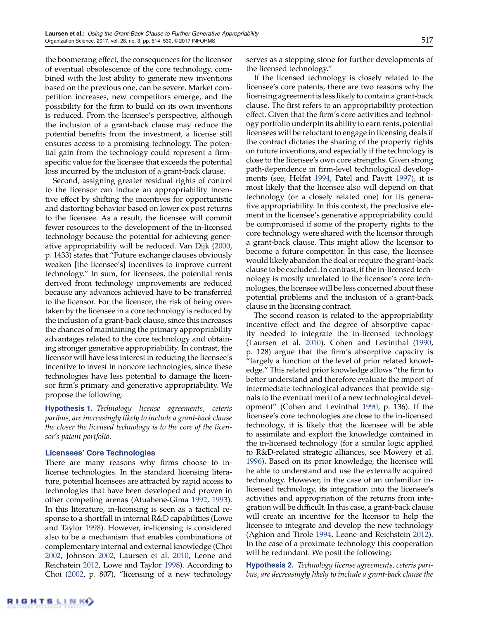the boomerang effect, the consequences for the licensor of eventual obsolescence of the core technology, combined with the lost ability to generate new inventions based on the previous one, can be severe. Market competition increases, new competitors emerge, and the possibility for the firm to build on its own inventions is reduced. From the licensee's perspective, although the inclusion of a grant-back clause may reduce the potential benefits from the investment, a license still ensures access to a promising technology. The potential gain from the technology could represent a firmspecific value for the licensee that exceeds the potential

loss incurred by the inclusion of a grant-back clause. Second, assigning greater residual rights of control to the licensor can induce an appropriability incentive effect by shifting the incentives for opportunistic and distorting behavior based on lower ex post returns to the licensee. As a result, the licensee will commit fewer resources to the development of the in-licensed technology because the potential for achieving generative appropriability will be reduced. Van Dijk [\(2000,](#page-17-10) p. 1433) states that "Future exchange clauses obviously weaken [the licensee's] incentives to improve current technology." In sum, for licensees, the potential rents derived from technology improvements are reduced because any advances achieved have to be transferred to the licensor. For the licensor, the risk of being overtaken by the licensee in a core technology is reduced by the inclusion of a grant-back clause, since this increases the chances of maintaining the primary appropriability advantages related to the core technology and obtaining stronger generative appropriability. In contrast, the licensor will have less interest in reducing the licensee's incentive to invest in noncore technologies, since these technologies have less potential to damage the licensor firm's primary and generative appropriability. We propose the following:

<span id="page-4-1"></span>**Hypothesis 1.** *Technology license agreements, ceteris paribus, are increasingly likely to include a grant-back clause the closer the licensed technology is to the core of the licensor's patent portfolio.*

#### **Licensees' Core Technologies**

There are many reasons why firms choose to inlicense technologies. In the standard licensing literature, potential licensees are attracted by rapid access to technologies that have been developed and proven in other competing arenas (Atuahene-Gima [1992,](#page-16-23) [1993\)](#page-16-24). In this literature, in-licensing is seen as a tactical response to a shortfall in internal R&D capabilities (Lowe and Taylor [1998\)](#page-17-20). However, in-licensing is considered also to be a mechanism that enables combinations of complementary internal and external knowledge (Choi [2002,](#page-16-15) Johnson [2002,](#page-16-25) Laursen et al. [2010,](#page-16-26) Leone and Reichstein [2012,](#page-17-12) Lowe and Taylor [1998\)](#page-17-20). According to Choi [\(2002,](#page-16-15) p. 807), "licensing of a new technology

serves as a stepping stone for further developments of the licensed technology."

If the licensed technology is closely related to the licensee's core patents, there are two reasons why the licensing agreement is less likely to contain a grant-back clause. The first refers to an appropriability protection effect. Given that the firm's core activities and technology portfolio underpin its ability to earn rents, potential licensees will be reluctant to engage in licensing deals if the contract dictates the sharing of the property rights on future inventions, and especially if the technology is close to the licensee's own core strengths. Given strong path-dependence in firm-level technological developments (see, Helfat [1994,](#page-16-27) Patel and Pavitt [1997\)](#page-17-13), it is most likely that the licensee also will depend on that technology (or a closely related one) for its generative appropriability. In this context, the preclusive element in the licensee's generative appropriability could be compromised if some of the property rights to the core technology were shared with the licensor through a grant-back clause. This might allow the licensor to become a future competitor. In this case, the licensee would likely abandon the deal or require the grant-back clause to be excluded. In contrast, if the in-licensed technology is mostly unrelated to the licensee's core technologies, the licensee will be less concerned about these potential problems and the inclusion of a grant-back clause in the licensing contract.

The second reason is related to the appropriability incentive effect and the degree of absorptive capacity needed to integrate the in-licensed technology (Laursen et al. [2010\)](#page-16-26). Cohen and Levinthal [\(1990,](#page-16-28) p. 128) argue that the firm's absorptive capacity is "largely a function of the level of prior related knowledge." This related prior knowledge allows "the firm to better understand and therefore evaluate the import of intermediate technological advances that provide signals to the eventual merit of a new technological development" (Cohen and Levinthal [1990,](#page-16-28) p. 136). If the licensee's core technologies are close to the in-licensed technology, it is likely that the licensee will be able to assimilate and exploit the knowledge contained in the in-licensed technology (for a similar logic applied to R&D-related strategic alliances, see Mowery et al. [1996\)](#page-17-21). Based on its prior knowledge, the licensee will be able to understand and use the externally acquired technology. However, in the case of an unfamiliar inlicensed technology, its integration into the licensee's activities and appropriation of the returns from integration will be difficult. In this case, a grant-back clause will create an incentive for the licensor to help the licensee to integrate and develop the new technology (Aghion and Tirole [1994,](#page-16-19) Leone and Reichstein [2012\)](#page-17-12). In the case of a proximate technology this cooperation will be redundant. We posit the following:

<span id="page-4-0"></span>**Hypothesis 2.** *Technology license agreements, ceteris paribus, are decreasingly likely to include a grant-back clause the*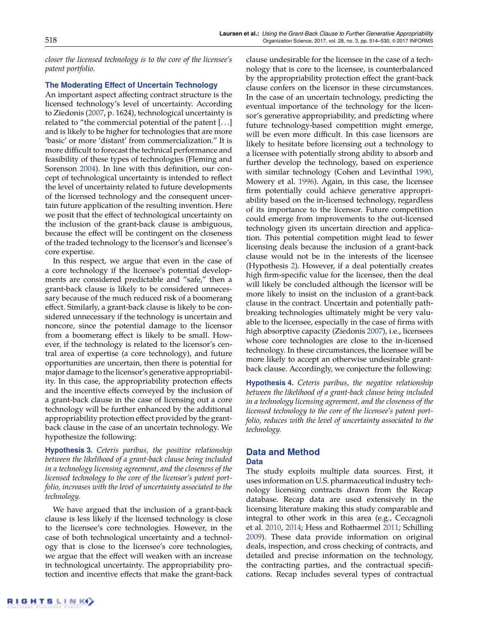*closer the licensed technology is to the core of the licensee's patent portfolio.*

## **The Moderating Effect of Uncertain Technology**

An important aspect affecting contract structure is the licensed technology's level of uncertainty. According to Ziedonis [\(2007,](#page-17-22) p. 1624), technological uncertainty is related to "the commercial potential of the patent [. . .] and is likely to be higher for technologies that are more 'basic' or more 'distant' from commercialization." It is more difficult to forecast the technical performance and feasibility of these types of technologies (Fleming and Sorenson [2004\)](#page-16-29). In line with this definition, our concept of technological uncertainty is intended to reflect the level of uncertainty related to future developments of the licensed technology and the consequent uncertain future application of the resulting invention. Here we posit that the effect of technological uncertainty on the inclusion of the grant-back clause is ambiguous, because the effect will be contingent on the closeness of the traded technology to the licensor's and licensee's core expertise.

In this respect, we argue that even in the case of a core technology if the licensee's potential developments are considered predictable and "safe," then a grant-back clause is likely to be considered unnecessary because of the much reduced risk of a boomerang effect. Similarly, a grant-back clause is likely to be considered unnecessary if the technology is uncertain and noncore, since the potential damage to the licensor from a boomerang effect is likely to be small. However, if the technology is related to the licensor's central area of expertise (a core technology), and future opportunities are uncertain, then there is potential for major damage to the licensor's generative appropriability. In this case, the appropriability protection effects and the incentive effects conveyed by the inclusion of a grant-back clause in the case of licensing out a core technology will be further enhanced by the additional appropriability protection effect provided by the grantback clause in the case of an uncertain technology. We hypothesize the following:

<span id="page-5-0"></span>**Hypothesis 3.** *Ceteris paribus, the positive relationship between the likelihood of a grant-back clause being included in a technology licensing agreement, and the closeness of the licensed technology to the core of the licensor's patent portfolio, increases with the level of uncertainty associated to the technology.*

We have argued that the inclusion of a grant-back clause is less likely if the licensed technology is close to the licensee's core technologies. However, in the case of both technological uncertainty and a technology that is close to the licensee's core technologies, we argue that the effect will weaken with an increase in technological uncertainty. The appropriability protection and incentive effects that make the grant-back

clause undesirable for the licensee in the case of a technology that is core to the licensee, is counterbalanced by the appropriability protection effect the grant-back clause confers on the licensor in these circumstances. In the case of an uncertain technology, predicting the eventual importance of the technology for the licensor's generative appropriability, and predicting where future technology-based competition might emerge, will be even more difficult. In this case licensors are likely to hesitate before licensing out a technology to a licensee with potentially strong ability to absorb and further develop the technology, based on experience with similar technology (Cohen and Levinthal [1990,](#page-16-28) Mowery et al. [1996\)](#page-17-21). Again, in this case, the licensee firm potentially could achieve generative appropriability based on the in-licensed technology, regardless of its importance to the licensor. Future competition could emerge from improvements to the out-licensed technology given its uncertain direction and application. This potential competition might lead to fewer licensing deals because the inclusion of a grant-back clause would not be in the interests of the licensee (Hypothesis [2\)](#page-4-0). However, if a deal potentially creates high firm-specific value for the licensee, then the deal will likely be concluded although the licensor will be more likely to insist on the inclusion of a grant-back clause in the contract. Uncertain and potentially pathbreaking technologies ultimately might be very valuable to the licensee, especially in the case of firms with high absorptive capacity (Ziedonis [2007\)](#page-17-22), i.e., licensees whose core technologies are close to the in-licensed technology. In these circumstances, the licensee will be more likely to accept an otherwise undesirable grantback clause. Accordingly, we conjecture the following:

<span id="page-5-1"></span>**Hypothesis 4.** *Ceteris paribus, the negative relationship between the likelihood of a grant-back clause being included in a technology licensing agreement, and the closeness of the licensed technology to the core of the licensee's patent portfolio, reduces with the level of uncertainty associated to the technology.*

## **Data and Method Data**

The study exploits multiple data sources. First, it uses information on U.S. pharmaceutical industry technology licensing contracts drawn from the Recap database. Recap data are used extensively in the licensing literature making this study comparable and integral to other work in this area (e.g., Ceccagnoli et al. [2010,](#page-16-30) [2014;](#page-16-31) Hess and Rothaermel [2011;](#page-16-32) Schilling [2009\)](#page-17-23). These data provide information on original deals, inspection, and cross checking of contracts, and detailed and precise information on the technology, the contracting parties, and the contractual specifications. Recap includes several types of contractual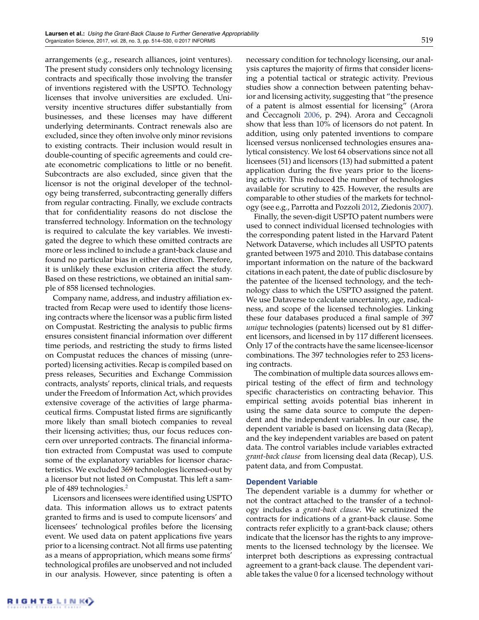arrangements (e.g., research alliances, joint ventures). The present study considers only technology licensing contracts and specifically those involving the transfer of inventions registered with the USPTO. Technology licenses that involve universities are excluded. University incentive structures differ substantially from businesses, and these licenses may have different underlying determinants. Contract renewals also are excluded, since they often involve only minor revisions to existing contracts. Their inclusion would result in double-counting of specific agreements and could create econometric complications to little or no benefit. Subcontracts are also excluded, since given that the licensor is not the original developer of the technology being transferred, subcontracting generally differs from regular contracting. Finally, we exclude contracts that for confidentiality reasons do not disclose the transferred technology. Information on the technology is required to calculate the key variables. We investigated the degree to which these omitted contracts are more or less inclined to include a grant-back clause and found no particular bias in either direction. Therefore, it is unlikely these exclusion criteria affect the study. Based on these restrictions, we obtained an initial sample of 858 licensed technologies.

Company name, address, and industry affiliation extracted from Recap were used to identify those licensing contracts where the licensor was a public firm listed on Compustat. Restricting the analysis to public firms ensures consistent financial information over different time periods, and restricting the study to firms listed on Compustat reduces the chances of missing (unreported) licensing activities. Recap is compiled based on press releases, Securities and Exchange Commission contracts, analysts' reports, clinical trials, and requests under the Freedom of Information Act, which provides extensive coverage of the activities of large pharmaceutical firms. Compustat listed firms are significantly more likely than small biotech companies to reveal their licensing activities; thus, our focus reduces concern over unreported contracts. The financial information extracted from Compustat was used to compute some of the explanatory variables for licensor characteristics. We excluded 369 technologies licensed-out by a licensor but not listed on Compustat. This left a sample of 489 technologies.[2](#page-15-1)

<span id="page-6-0"></span>Licensors and licensees were identified using USPTO data. This information allows us to extract patents granted to firms and is used to compute licensors' and licensees' technological profiles before the licensing event. We used data on patent applications five years prior to a licensing contract. Not all firms use patenting as a means of appropriation, which means some firms' technological profiles are unobserved and not included in our analysis. However, since patenting is often a necessary condition for technology licensing, our analysis captures the majority of firms that consider licensing a potential tactical or strategic activity. Previous studies show a connection between patenting behavior and licensing activity, suggesting that "the presence of a patent is almost essential for licensing" (Arora and Ceccagnoli [2006,](#page-16-33) p. 294). Arora and Ceccagnoli show that less than 10% of licensors do not patent. In addition, using only patented inventions to compare licensed versus nonlicensed technologies ensures analytical consistency. We lost 64 observations since not all licensees (51) and licensors (13) had submitted a patent application during the five years prior to the licensing activity. This reduced the number of technologies available for scrutiny to 425. However, the results are comparable to other studies of the markets for technology (see e.g., Parrotta and Pozzoli [2012,](#page-17-24) Ziedonis [2007\)](#page-17-22).

Finally, the seven-digit USPTO patent numbers were used to connect individual licensed technologies with the corresponding patent listed in the Harvard Patent Network Dataverse, which includes all USPTO patents granted between 1975 and 2010. This database contains important information on the nature of the backward citations in each patent, the date of public disclosure by the patentee of the licensed technology, and the technology class to which the USPTO assigned the patent. We use Dataverse to calculate uncertainty, age, radicalness, and scope of the licensed technologies. Linking these four databases produced a final sample of 397 *unique* technologies (patents) licensed out by 81 different licensors, and licensed in by 117 different licensees. Only 17 of the contracts have the same licensee-licensor combinations. The 397 technologies refer to 253 licensing contracts.

The combination of multiple data sources allows empirical testing of the effect of firm and technology specific characteristics on contracting behavior. This empirical setting avoids potential bias inherent in using the same data source to compute the dependent and the independent variables. In our case, the dependent variable is based on licensing data (Recap), and the key independent variables are based on patent data. The control variables include variables extracted *grant-back clause* from licensing deal data (Recap), U.S. patent data, and from Compustat.

#### **Dependent Variable**

The dependent variable is a dummy for whether or not the contract attached to the transfer of a technology includes a *grant-back clause*. We scrutinized the contracts for indications of a grant-back clause. Some contracts refer explicitly to a grant-back clause; others indicate that the licensor has the rights to any improvements to the licensed technology by the licensee. We interpret both descriptions as expressing contractual agreement to a grant-back clause. The dependent variable takes the value 0 for a licensed technology without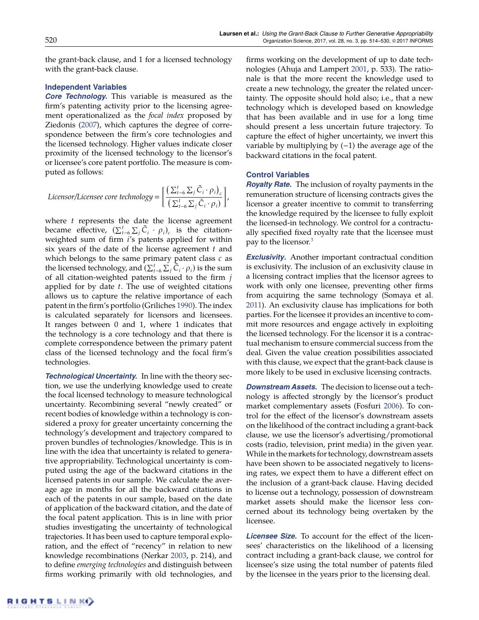the grant-back clause, and 1 for a licensed technology with the grant-back clause.

## **Independent Variables**

*Core Technology.* This variable is measured as the firm's patenting activity prior to the licensing agreement operationalized as the *focal index* proposed by Ziedonis [\(2007\)](#page-17-22), which captures the degree of correspondence between the firm's core technologies and the licensed technology. Higher values indicate closer proximity of the licensed technology to the licensor's or licensee's core patent portfolio. The measure is computed as follows:

$$
\text{Licensor/Licensee core technology} = \left[ \frac{\left( \sum_{t=6}^{t} \sum_{j} \tilde{C}_{i} \cdot \rho_{i} \right)_{c}}{\left( \sum_{t=6}^{t} \sum_{j} \tilde{C}_{i} \cdot \rho_{i} \right)} \right],
$$

where *t* represents the date the license agreement became effective,  $(\sum_{t=6}^{t} \sum_{j} \tilde{C}_i \cdot \rho_i)_c$  is the citationweighted sum of firm *i*'s patents applied for within six years of the date of the license agreement *t* and which belongs to the same primary patent class *c* as the licensed technology, and  $(\sum_{t=6}^{t} \sum_{j}^{t} \tilde{C}_{i} \cdot \rho_{i})$  is the sum of all citation-weighted patents issued to the firm *j* applied for by date *t*. The use of weighted citations allows us to capture the relative importance of each patent in the firm's portfolio (Griliches [1990\)](#page-16-34). The index is calculated separately for licensors and licensees. It ranges between 0 and 1, where 1 indicates that the technology is a core technology and that there is complete correspondence between the primary patent class of the licensed technology and the focal firm's technologies.

*Technological Uncertainty.* In line with the theory section, we use the underlying knowledge used to create the focal licensed technology to measure technological uncertainty. Recombining several "newly created" or recent bodies of knowledge within a technology is considered a proxy for greater uncertainty concerning the technology's development and trajectory compared to proven bundles of technologies/knowledge. This is in line with the idea that uncertainty is related to generative appropriability. Technological uncertainty is computed using the age of the backward citations in the licensed patents in our sample. We calculate the average age in months for all the backward citations in each of the patents in our sample, based on the date of application of the backward citation, and the date of the focal patent application. This is in line with prior studies investigating the uncertainty of technological trajectories. It has been used to capture temporal exploration, and the effect of "recency" in relation to new knowledge recombinations (Nerkar [2003,](#page-17-25) p. 214), and to define *emerging technologies* and distinguish between firms working primarily with old technologies, and

firms working on the development of up to date technologies (Ahuja and Lampert [2001,](#page-16-35) p. 533). The rationale is that the more recent the knowledge used to create a new technology, the greater the related uncertainty. The opposite should hold also; i.e., that a new technology which is developed based on knowledge that has been available and in use for a long time should present a less uncertain future trajectory. To capture the effect of higher uncertainty, we invert this variable by multiplying by (−1) the average age of the backward citations in the focal patent.

### **Control Variables**

*Royalty Rate.* The inclusion of royalty payments in the remuneration structure of licensing contracts gives the licensor a greater incentive to commit to transferring the knowledge required by the licensee to fully exploit the licensed-in technology. We control for a contractually specified fixed royalty rate that the licensee must pay to the licensor.[3](#page-15-2)

<span id="page-7-0"></span>*Exclusivity***.** Another important contractual condition is exclusivity. The inclusion of an exclusivity clause in a licensing contract implies that the licensor agrees to work with only one licensee, preventing other firms from acquiring the same technology (Somaya et al. [2011\)](#page-17-5). An exclusivity clause has implications for both parties. For the licensee it provides an incentive to commit more resources and engage actively in exploiting the licensed technology. For the licensor it is a contractual mechanism to ensure commercial success from the deal. Given the value creation possibilities associated with this clause, we expect that the grant-back clause is more likely to be used in exclusive licensing contracts.

*Downstream Assets.* The decision to license out a technology is affected strongly by the licensor's product market complementary assets (Fosfuri [2006\)](#page-16-12). To control for the effect of the licensor's downstream assets on the likelihood of the contract including a grant-back clause, we use the licensor's advertising/promotional costs (radio, television, print media) in the given year. While in the markets for technology, downstream assets have been shown to be associated negatively to licensing rates, we expect them to have a different effect on the inclusion of a grant-back clause. Having decided to license out a technology, possession of downstream market assets should make the licensor less concerned about its technology being overtaken by the licensee.

*Licensee Size.* To account for the effect of the licensees' characteristics on the likelihood of a licensing contract including a grant-back clause, we control for licensee's size using the total number of patents filed by the licensee in the years prior to the licensing deal.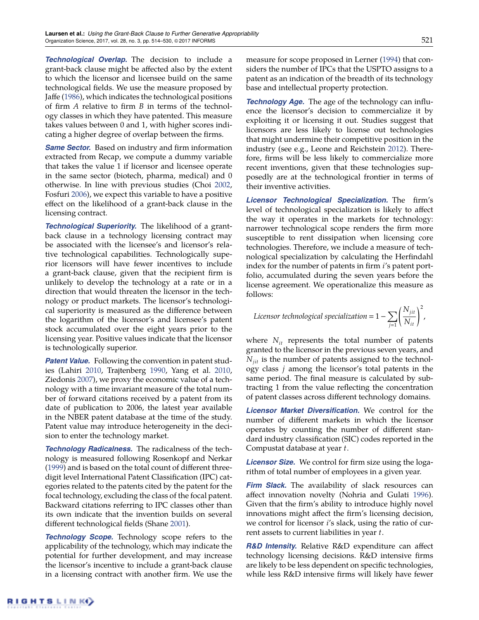*Technological Overlap.* The decision to include a grant-back clause might be affected also by the extent to which the licensor and licensee build on the same technological fields. We use the measure proposed by Jaffe [\(1986\)](#page-16-36), which indicates the technological positions of firm *A* relative to firm *B* in terms of the technology classes in which they have patented. This measure takes values between 0 and 1, with higher scores indicating a higher degree of overlap between the firms.

*Same Sector.* Based on industry and firm information extracted from Recap, we compute a dummy variable that takes the value 1 if licensor and licensee operate in the same sector (biotech, pharma, medical) and 0 otherwise. In line with previous studies (Choi [2002,](#page-16-15) Fosfuri [2006\)](#page-16-12), we expect this variable to have a positive effect on the likelihood of a grant-back clause in the licensing contract.

*Technological Superiority.* The likelihood of a grantback clause in a technology licensing contract may be associated with the licensee's and licensor's relative technological capabilities. Technologically superior licensors will have fewer incentives to include a grant-back clause, given that the recipient firm is unlikely to develop the technology at a rate or in a direction that would threaten the licensor in the technology or product markets. The licensor's technological superiority is measured as the difference between the logarithm of the licensor's and licensee's patent stock accumulated over the eight years prior to the licensing year. Positive values indicate that the licensor is technologically superior.

*Patent Value.* Following the convention in patent studies (Lahiri [2010,](#page-16-37) Trajtenberg [1990,](#page-17-26) Yang et al. [2010,](#page-17-6) Ziedonis [2007\)](#page-17-22), we proxy the economic value of a technology with a time invariant measure of the total number of forward citations received by a patent from its date of publication to 2006, the latest year available in the NBER patent database at the time of the study. Patent value may introduce heterogeneity in the decision to enter the technology market.

*Technology Radicalness.* The radicalness of the technology is measured following Rosenkopf and Nerkar [\(1999\)](#page-17-27) and is based on the total count of different threedigit level International Patent Classification (IPC) categories related to the patents cited by the patent for the focal technology, excluding the class of the focal patent. Backward citations referring to IPC classes other than its own indicate that the invention builds on several different technological fields (Shane [2001\)](#page-17-28).

**Technology Scope.** Technology scope refers to the applicability of the technology, which may indicate the potential for further development, and may increase the licensor's incentive to include a grant-back clause in a licensing contract with another firm. We use the measure for scope proposed in Lerner [\(1994\)](#page-17-29) that considers the number of IPCs that the USPTO assigns to a patent as an indication of the breadth of its technology base and intellectual property protection.

*Technology Age.* The age of the technology can influence the licensor's decision to commercialize it by exploiting it or licensing it out. Studies suggest that licensors are less likely to license out technologies that might undermine their competitive position in the industry (see e.g., Leone and Reichstein [2012\)](#page-17-12). Therefore, firms will be less likely to commercialize more recent inventions, given that these technologies supposedly are at the technological frontier in terms of their inventive activities.

*Licensor Technological Specialization.* The firm's level of technological specialization is likely to affect the way it operates in the markets for technology: narrower technological scope renders the firm more susceptible to rent dissipation when licensing core technologies. Therefore, we include a measure of technological specialization by calculating the Herfindahl index for the number of patents in firm *i*'s patent portfolio, accumulated during the seven years before the license agreement. We operationalize this measure as follows:

*Licensor technological specialization* = 
$$
1 - \sum_{j=1}^{N_{jit}} \left(\frac{N_{jit}}{N_{it}}\right)^2
$$
,

where  $N_{it}$  represents the total number of patents granted to the licensor in the previous seven years, and *Njit* is the number of patents assigned to the technology class *j* among the licensor's total patents in the same period. The final measure is calculated by subtracting 1 from the value reflecting the concentration of patent classes across different technology domains.

*Licensor Market Diversification.* We control for the number of different markets in which the licensor operates by counting the number of different standard industry classification (SIC) codes reported in the Compustat database at year *t*.

*Licensor Size.* We control for firm size using the logarithm of total number of employees in a given year.

*Firm Slack.* The availability of slack resources can affect innovation novelty (Nohria and Gulati [1996\)](#page-17-30). Given that the firm's ability to introduce highly novel innovations might affect the firm's licensing decision, we control for licensor *i*'s slack, using the ratio of current assets to current liabilities in year *t*.

*R&D Intensity.* Relative R&D expenditure can affect technology licensing decisions. R&D intensive firms are likely to be less dependent on specific technologies, while less R&D intensive firms will likely have fewer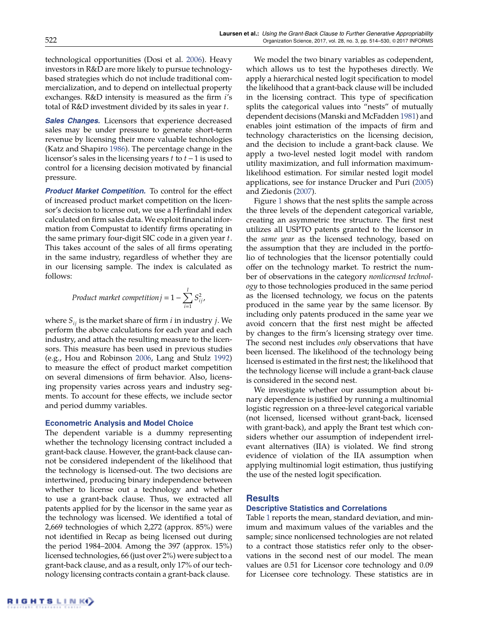technological opportunities (Dosi et al. [2006\)](#page-16-38). Heavy investors in R&D are more likely to pursue technologybased strategies which do not include traditional commercialization, and to depend on intellectual property exchanges. R&D intensity is measured as the firm *i*'s total of R&D investment divided by its sales in year *t*.

*Sales Changes.* Licensors that experience decreased sales may be under pressure to generate short-term revenue by licensing their more valuable technologies (Katz and Shapiro [1986\)](#page-16-39). The percentage change in the licensor's sales in the licensing years *t* to *t* −1 is used to control for a licensing decision motivated by financial pressure.

*Product Market Competition.* To control for the effect of increased product market competition on the licensor's decision to license out, we use a Herfindahl index calculated on firm sales data. We exploit financial information from Compustat to identify firms operating in the same primary four-digit SIC code in a given year *t*. This takes account of the sales of all firms operating in the same industry, regardless of whether they are in our licensing sample. The index is calculated as follows:

Product market competition 
$$
j = 1 - \sum_{i=1}^{I} S_{ij}^2
$$
,

where *Sij* is the market share of firm *i* in industry *j*. We perform the above calculations for each year and each industry, and attach the resulting measure to the licensors. This measure has been used in previous studies (e.g., Hou and Robinson [2006,](#page-16-40) Lang and Stulz [1992\)](#page-16-41) to measure the effect of product market competition on several dimensions of firm behavior. Also, licensing propensity varies across years and industry segments. To account for these effects, we include sector and period dummy variables.

#### **Econometric Analysis and Model Choice**

The dependent variable is a dummy representing whether the technology licensing contract included a grant-back clause. However, the grant-back clause cannot be considered independent of the likelihood that the technology is licensed-out. The two decisions are intertwined, producing binary independence between whether to license out a technology and whether to use a grant-back clause. Thus, we extracted all patents applied for by the licensor in the same year as the technology was licensed. We identified a total of 2,669 technologies of which 2,272 (approx. 85%) were not identified in Recap as being licensed out during the period 1984–2004. Among the 397 (approx. 15%) licensed technologies, 66 (just over 2%) were subject to a grant-back clause, and as a result, only 17% of our technology licensing contracts contain a grant-back clause.

We model the two binary variables as codependent, which allows us to test the hypotheses directly. We apply a hierarchical nested logit specification to model the likelihood that a grant-back clause will be included in the licensing contract. This type of specification splits the categorical values into "nests" of mutually dependent decisions (Manski and McFadden [1981\)](#page-17-31) and enables joint estimation of the impacts of firm and technology characteristics on the licensing decision, and the decision to include a grant-back clause. We apply a two-level nested logit model with random utility maximization, and full information maximumlikelihood estimation. For similar nested logit model applications, see for instance Drucker and Puri [\(2005\)](#page-16-42) and Ziedonis [\(2007\)](#page-17-22).

Figure [1](#page-10-0) shows that the nest splits the sample across the three levels of the dependent categorical variable, creating an asymmetric tree structure. The first nest utilizes all USPTO patents granted to the licensor in the *same year* as the licensed technology, based on the assumption that they are included in the portfolio of technologies that the licensor potentially could offer on the technology market. To restrict the number of observations in the category *nonlicensed technology* to those technologies produced in the same period as the licensed technology, we focus on the patents produced in the same year by the same licensor. By including only patents produced in the same year we avoid concern that the first nest might be affected by changes to the firm's licensing strategy over time. The second nest includes *only* observations that have been licensed. The likelihood of the technology being licensed is estimated in the first nest; the likelihood that the technology license will include a grant-back clause is considered in the second nest.

We investigate whether our assumption about binary dependence is justified by running a multinomial logistic regression on a three-level categorical variable (not licensed, licensed without grant-back, licensed with grant-back), and apply the Brant test which considers whether our assumption of independent irrelevant alternatives (IIA) is violated. We find strong evidence of violation of the IIA assumption when applying multinomial logit estimation, thus justifying the use of the nested logit specification.

## **Results**

### **Descriptive Statistics and Correlations**

Table [1](#page-10-1) reports the mean, standard deviation, and minimum and maximum values of the variables and the sample; since nonlicensed technologies are not related to a contract those statistics refer only to the observations in the second nest of our model. The mean values are 0.51 for Licensor core technology and 0.09 for Licensee core technology. These statistics are in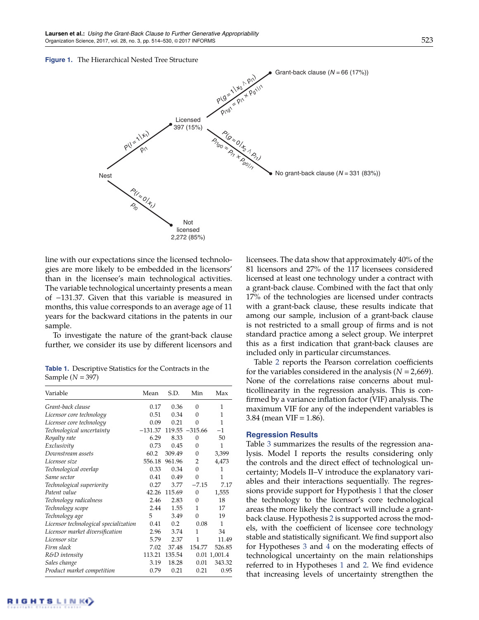#### **Figure 1.** The Hierarchical Nested Tree Structure

<span id="page-10-0"></span>

line with our expectations since the licensed technologies are more likely to be embedded in the licensors' than in the licensee's main technological activities. The variable technological uncertainty presents a mean of −131.37. Given that this variable is measured in months, this value corresponds to an average age of 11 years for the backward citations in the patents in our sample.

To investigate the nature of the grant-back clause further, we consider its use by different licensors and

<span id="page-10-1"></span>**Table 1.** Descriptive Statistics for the Contracts in the Sample  $(N = 397)$ 

| Variable                              | Mean      | S.D.   | Min               | Max          |
|---------------------------------------|-----------|--------|-------------------|--------------|
| Grant-back clause                     | 0.17      | 0.36   | 0                 | 1            |
| Licensor core technology              | 0.51      | 0.34   | $\Omega$          | 1            |
| Licensee core technology              | 0.09      | 0.21   | 0                 | 1            |
| Technological uncertainty             | $-131.37$ |        | $119.55 - 315.66$ | $-1$         |
| Royalty rate                          | 6.29      | 8.33   | 0                 | 50           |
| Exclusivity                           | 0.73      | 0.45   | 0                 | 1            |
| Downstream assets                     | 60.2      | 309.49 | 0                 | 3,399        |
| Licensee size                         | 556.18    | 961.96 | 2                 | 4,473        |
| Technological overlap                 | 0.33      | 0.34   | $\Omega$          | 1            |
| Same sector                           | 0.41      | 0.49   | 0                 | 1            |
| Technological superiority             | 0.27      | 3.77   | $-7.15$           | 7.17         |
| Patent value                          | 42.26     | 115.69 | $\theta$          | 1,555        |
| Technology radicalness                | 2.46      | 2.83   | 0                 | 18           |
| Technology scope                      | 2.44      | 1.55   | 1                 | 17           |
| Technology age                        | 5         | 3.49   | $\Omega$          | 19           |
| Licensor technological specialization | 0.41      | 0.2    | 0.08              | 1            |
| Licensor market diversification       | 2.96      | 3.74   | 1                 | 34           |
| Licensor size                         | 5.79      | 2.37   | 1                 | 11.49        |
| Firm slack                            | 7.02      | 37.48  | 154.77            | 526.85       |
| R&D intensity                         | 113.21    | 135.54 |                   | 0.01 1,001.4 |
| Sales change                          | 3.19      | 18.28  | 0.01              | 343.32       |
| Product market competition            | 0.79      | 0.21   | 0.21              | 0.95         |

licensees. The data show that approximately 40% of the 81 licensors and 27% of the 117 licensees considered licensed at least one technology under a contract with a grant-back clause. Combined with the fact that only 17% of the technologies are licensed under contracts with a grant-back clause, these results indicate that among our sample, inclusion of a grant-back clause is not restricted to a small group of firms and is not standard practice among a select group. We interpret this as a first indication that grant-back clauses are included only in particular circumstances.

Table [2](#page-11-0) reports the Pearson correlation coefficients for the variables considered in the analysis  $(N = 2,669)$ . None of the correlations raise concerns about multicollinearity in the regression analysis. This is confirmed by a variance inflation factor (VIF) analysis. The maximum VIF for any of the independent variables is 3.84 (mean VIF  $= 1.86$ ).

#### **Regression Results**

Table [3](#page-12-0) summarizes the results of the regression analysis. Model I reports the results considering only the controls and the direct effect of technological uncertainty; Models II–V introduce the explanatory variables and their interactions sequentially. The regressions provide support for Hypothesis [1](#page-4-1) that the closer the technology to the licensor's core technological areas the more likely the contract will include a grantback clause. Hypothesis [2](#page-4-0) is supported across the models, with the coefficient of licensee core technology stable and statistically significant. We find support also for Hypotheses [3](#page-5-0) and [4](#page-5-1) on the moderating effects of technological uncertainty on the main relationships referred to in Hypotheses [1](#page-4-1) and [2.](#page-4-0) We find evidence that increasing levels of uncertainty strengthen the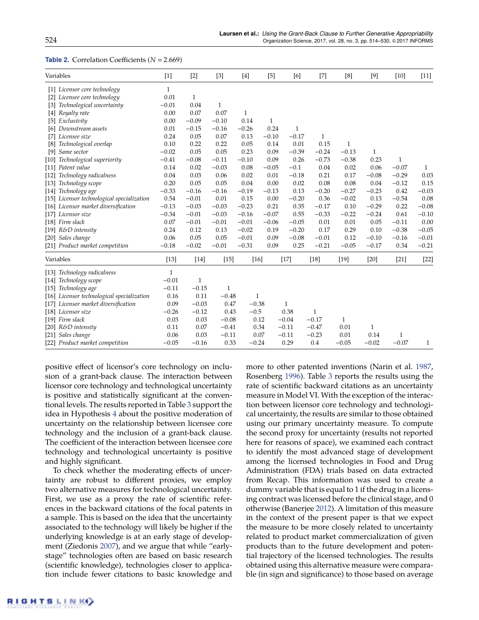|     | <b>Laursen et al.:</b> Using the Grant-Back Clause to Further Generative Appropriability |
|-----|------------------------------------------------------------------------------------------|
| 524 | Organization Science, 2017, vol. 28, no. 3, pp. 514-530, @ 2017 INFORMS                  |

|                   | Variables                                  | $[1]$        | $[2]$        | $[3]$        | $[4]$        | $[5]$        | [6]          | $[7]$        | $[8]$        | $[9]$        | $[10]$       | $[11]$       |
|-------------------|--------------------------------------------|--------------|--------------|--------------|--------------|--------------|--------------|--------------|--------------|--------------|--------------|--------------|
|                   | [1] Licensor core technology               | $\mathbf{1}$ |              |              |              |              |              |              |              |              |              |              |
|                   | [2] Licensee core technology               | 0.01         | $\mathbf{1}$ |              |              |              |              |              |              |              |              |              |
| $\lceil 3 \rceil$ | Technological uncertainty                  | $-0.01$      | 0.04         | $\mathbf{1}$ |              |              |              |              |              |              |              |              |
|                   | [4] Royalty rate                           | 0.00         | 0.07         | 0.07         | $\mathbf{1}$ |              |              |              |              |              |              |              |
|                   | [5] Exclusivity                            | 0.00         | $-0.09$      | $-0.10$      | 0.14         | $\mathbf{1}$ |              |              |              |              |              |              |
| [6]               | Downstream assets                          | 0.01         | $-0.15$      | $-0.16$      | $-0.26$      | 0.24         | $\mathbf{1}$ |              |              |              |              |              |
|                   | [7] Licensee size                          | 0.24         | 0.05         | 0.07         | 0.13         | $-0.10$      | $-0.17$      | $\mathbf{1}$ |              |              |              |              |
| [8]               | Technological overlap                      | 0.10         | 0.22         | 0.22         | 0.05         | 0.14         | 0.01         | 0.15         | $\mathbf{1}$ |              |              |              |
|                   | [9] Same sector                            | $-0.02$      | 0.05         | 0.05         | 0.23         | 0.09         | $-0.39$      | $-0.24$      | $-0.13$      | $\mathbf{1}$ |              |              |
| $[10]$            | Technological superiority                  | $-0.41$      | $-0.08$      | $-0.11$      | $-0.10$      | 0.09         | 0.26         | $-0.73$      | $-0.38$      | 0.23         | $\mathbf{1}$ |              |
|                   | [11] Patent value                          | 0.14         | 0.02         | $-0.03$      | 0.08         | $-0.05$      | $-0.1$       | 0.04         | 0.02         | 0.06         | $-0.07$      | $\mathbf{1}$ |
|                   | [12] Technology radicalness                | 0.04         | 0.03         | 0.06         | 0.02         | 0.01         | $-0.18$      | 0.21         | 0.17         | $-0.08$      | $-0.29$      | 0.03         |
|                   | [13] Technology scope                      | 0.20         | 0.05         | 0.05         | 0.04         | 0.00         | 0.02         | 0.08         | 0.08         | 0.04         | $-0.12$      | 0.15         |
|                   | [14] Technology age                        | $-0.33$      | $-0.16$      | $-0.16$      | $-0.19$      | $-0.13$      | 0.13         | $-0.20$      | $-0.27$      | $-0.23$      | 0.42         | $-0.03$      |
|                   | [15] Licensor technological specialization | 0.54         | $-0.01$      | 0.01         | 0.15         | 0.00         | $-0.20$      | 0.36         | $-0.02$      | 0.13         | $-0.54$      | 0.08         |
|                   | [16] Licensor market diversification       | $-0.13$      | $-0.03$      | $-0.03$      | $-0.23$      | 0.21         | 0.35         | $-0.17$      | 0.10         | $-0.29$      | 0.22         | $-0.08$      |
|                   | [17] Licensor size                         | $-0.34$      | $-0.01$      | $-0.03$      | $-0.16$      | $-0.07$      | 0.55         | $-0.33$      | $-0.22$      | $-0.24$      | 0.61         | $-0.10$      |
|                   | [18] Firm slack                            | 0.07         | $-0.01$      | $-0.01$      | $-0.01$      | $-0.06$      | $-0.05$      | 0.01         | 0.01         | 0.05         | $-0.11$      | 0.00         |
|                   | [19] R&D intensity                         | 0.24         | 0.12         | 0.13         | $-0.02$      | 0.19         | $-0.20$      | 0.17         | 0.29         | 0.10         | $-0.38$      | $-0.05$      |
|                   | [20] Sales change                          | 0.06         | 0.05         | 0.05         | $-0.01$      | 0.09         | $-0.08$      | $-0.01$      | 0.12         | $-0.10$      | $-0.16$      | $-0.01$      |
|                   | [21] Product market competition            | $-0.18$      | $-0.02$      | $-0.01$      | $-0.31$      | 0.09         | 0.25         | $-0.21$      | $-0.05$      | $-0.17$      | 0.34         | $-0.21$      |
|                   | Variables                                  | $[13]$       | $[14]$       | $[15]$       | $[16]$       |              | $[17]$       | $[18]$       | $[19]$       | $[20]$       | $[21]$       | $[22]$       |
|                   | [13] Technology radicalness                | $\mathbf{1}$ |              |              |              |              |              |              |              |              |              |              |
|                   | [14] Technology scope                      | $-0.01$      | $\mathbf{1}$ |              |              |              |              |              |              |              |              |              |
|                   | [15] Technology age                        | $-0.11$      | $-0.15$      | 1            |              |              |              |              |              |              |              |              |
|                   | [16] Licensor technological specialization | 0.16         | 0.11         | $-0.48$      | $\mathbf{1}$ |              |              |              |              |              |              |              |
|                   | [17] Licensor market diversification       | 0.09         | $-0.03$      | 0.47         | $-0.38$      |              | $\mathbf{1}$ |              |              |              |              |              |
|                   | [18] Licensor size                         | $-0.26$      | $-0.12$      | 0.43         | $-0.5$       |              | 0.38         | 1            |              |              |              |              |
|                   | [19] Firm slack                            | 0.03         | 0.03         | $-0.08$      |              | 0.12         | $-0.04$      | $-0.17$      | $\mathbf{1}$ |              |              |              |
|                   | [20] R&D intensity                         | 0.11         | 0.07         | $-0.41$      |              | 0.34         | $-0.11$      | $-0.47$      | 0.01         | $\mathbf{1}$ |              |              |
|                   | [21] Sales change                          | 0.06         | 0.03         | $-0.11$      |              | 0.07         | $-0.11$      | $-0.23$      | 0.01         | 0.14         | $\mathbf{1}$ |              |
|                   | [22] Product market competition            | $-0.05$      | $-0.16$      | 0.33         | $-0.24$      |              | 0.29         | 0.4          | $-0.05$      | $-0.02$      | $-0.07$      | $\mathbf{1}$ |

<span id="page-11-0"></span>**Table 2.** Correlation Coefficients ( $N = 2.669$ )

positive effect of licensor's core technology on inclusion of a grant-back clause. The interaction between licensor core technology and technological uncertainty is positive and statistically significant at the conventional levels. The results reported in Table [3](#page-12-0) support the idea in Hypothesis [4](#page-5-1) about the positive moderation of uncertainty on the relationship between licensee core technology and the inclusion of a grant-back clause. The coefficient of the interaction between licensee core technology and technological uncertainty is positive and highly significant.

To check whether the moderating effects of uncertainty are robust to different proxies, we employ two alternative measures for technological uncertainty. First, we use as a proxy the rate of scientific references in the backward citations of the focal patents in a sample. This is based on the idea that the uncertainty associated to the technology will likely be higher if the underlying knowledge is at an early stage of development (Ziedonis [2007\)](#page-17-22), and we argue that while "earlystage" technologies often are based on basic research (scientific knowledge), technologies closer to application include fewer citations to basic knowledge and more to other patented inventions (Narin et al. [1987,](#page-17-32) Rosenberg [1996\)](#page-17-33). Table [3](#page-12-0) reports the results using the rate of scientific backward citations as an uncertainty measure in Model VI. With the exception of the interaction between licensor core technology and technological uncertainty, the results are similar to those obtained using our primary uncertainty measure. To compute the second proxy for uncertainty (results not reported here for reasons of space), we examined each contract to identify the most advanced stage of development among the licensed technologies in Food and Drug Administration (FDA) trials based on data extracted from Recap. This information was used to create a dummy variable that is equal to 1 if the drug in a licensing contract was licensed before the clinical stage, and 0 otherwise (Banerjee [2012\)](#page-16-43). A limitation of this measure in the context of the present paper is that we expect the measure to be more closely related to uncertainty related to product market commercialization of given products than to the future development and potential trajectory of the licensed technologies. The results obtained using this alternative measure were comparable (in sign and significance) to those based on average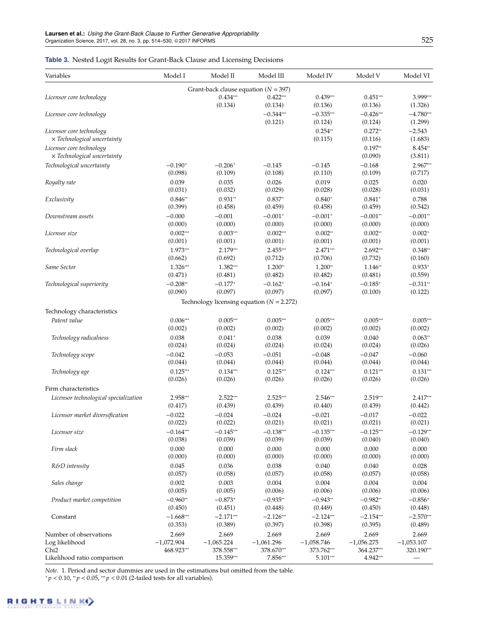## <span id="page-12-0"></span>**Table 3.** Nested Logit Results for Grant-Back Clause and Licensing Decisions

| Variables                                                      | Model I      | Model II                               | Model III                                   | Model IV     | Model V                | Model VI                 |
|----------------------------------------------------------------|--------------|----------------------------------------|---------------------------------------------|--------------|------------------------|--------------------------|
|                                                                |              | Grant-back clause equation $(N = 397)$ |                                             |              |                        |                          |
| Licensor core technology                                       |              | $0.434***$                             | $0.422***$                                  | $0.439***$   | $0.451***$             | 3.999***                 |
|                                                                |              | (0.134)                                | (0.134)                                     | (0.136)      | (0.136)                | (1.326)                  |
| Licensee core technology                                       |              |                                        | $-0.344***$                                 | $-0.335***$  | $-0.426***$            | $-4.780***$              |
|                                                                |              |                                        | (0.121)                                     | (0.124)      | (0.124)                | (1.299)                  |
| Licensor core technology                                       |              |                                        |                                             | $0.254**$    | $0.272**$              | $-2.543$                 |
| $\times$ Technological uncertainty                             |              |                                        |                                             | (0.115)      | (0.116)                | (1.683)                  |
| Licensee core technology<br>$\times$ Technological uncertainty |              |                                        |                                             |              | $0.197**$<br>(0.090)   | $8.454**$<br>(3.811)     |
| Technological uncertainty                                      | $-0.190+$    | $-0.206+$                              | $-0.145$                                    | $-0.145$     | $-0.168$               | 2.967***                 |
|                                                                | (0.098)      | (0.109)                                | (0.108)                                     | (0.110)      | (0.109)                | (0.717)                  |
| Royalty rate                                                   | 0.039        | 0.035                                  | 0.026                                       | 0.019        | 0.025                  | 0.020                    |
|                                                                | (0.031)      | (0.032)                                | (0.029)                                     | (0.028)      | (0.028)                | (0.031)                  |
|                                                                | $0.846**$    | $0.931**$                              | $0.837+$                                    | $0.840^{+}$  |                        | 0.788                    |
| Exclusivity                                                    | (0.399)      | (0.458)                                | (0.459)                                     | (0.458)      | $0.841^{+}$<br>(0.459) | (0.542)                  |
|                                                                |              |                                        |                                             |              |                        |                          |
| Downstream assets                                              | $-0.000$     | $-0.001$                               | $-0.001+$                                   | $-0.001+$    | $-0.001**$             | $-0.001**$               |
|                                                                | (0.000)      | (0.000)                                | (0.000)                                     | (0.000)      | (0.000)                | (0.000)                  |
| Licensee size                                                  | $0.002***$   | $0.003***$                             | $0.002***$                                  | $0.002**$    | $0.002**$              | $0.002^{+}$              |
|                                                                | (0.001)      | (0.001)                                | (0.001)                                     | (0.001)      | (0.001)                | (0.001)                  |
| Technological overlap                                          | 1.973***     | $2.179***$                             | $2.455***$                                  | $2.471***$   | $2.692***$             | $0.348**$                |
|                                                                | (0.662)      | (0.692)                                | (0.712)                                     | (0.706)      | (0.732)                | (0.160)                  |
| Same Sector                                                    | $1.326***$   | $1.382***$                             | $1.200**$                                   | $1.200**$    | $1.146**$              | $0.933^{+}$              |
|                                                                | (0.471)      | (0.481)                                | (0.482)                                     | (0.482)      | (0.481)                | (0.559)                  |
| Technological superiority                                      | $-0.208**$   | $-0.177^{+}$                           | $-0.162^{+}$                                | $-0.164+$    | $-0.185+$              | $-0.311**$               |
|                                                                | (0.090)      | (0.097)                                | (0.097)                                     | (0.097)      | (0.100)                | (0.122)                  |
|                                                                |              |                                        | Technology licensing equation $(N = 2.272)$ |              |                        |                          |
| Technology characteristics                                     |              |                                        |                                             |              |                        |                          |
| Patent value                                                   | $0.006***$   | $0.005***$                             | $0.005***$                                  | $0.005***$   | $0.005***$             | $0.005***$               |
|                                                                | (0.002)      | (0.002)                                | (0.002)                                     | (0.002)      | (0.002)                | (0.002)                  |
| Technology radicalness                                         | 0.038        | $0.041+$                               | 0.038                                       | 0.039        | 0.040                  | $0.063**$                |
|                                                                | (0.024)      | (0.024)                                | (0.024)                                     | (0.024)      | (0.024)                | (0.026)                  |
| Technology scope                                               | $-0.042$     | $-0.053$                               | $-0.051$                                    | $-0.048$     | $-0.047$               | $-0.060$                 |
|                                                                | (0.044)      | (0.044)                                | (0.044)                                     | (0.044)      | (0.044)                | (0.044)                  |
| Technology age                                                 | $0.125***$   | $0.134***$                             | $0.125***$                                  | $0.124***$   | $0.121***$             | $0.131***$               |
|                                                                | (0.026)      | (0.026)                                | (0.026)                                     | (0.026)      | (0.026)                | (0.026)                  |
| Firm characteristics                                           |              |                                        |                                             |              |                        |                          |
|                                                                |              |                                        |                                             |              |                        |                          |
| Licensor technological specialization                          | 2.958***     | $2.522***$                             | $2.525***$                                  | $2.546***$   | $2.519***$             | $2.417***$               |
|                                                                | (0.417)      | (0.439)                                | (0.439)                                     | (0.440)      | (0.439)                | (0.442)                  |
| Licensor market diversification                                | $-0.022$     | $-0.024$                               | $-0.024$                                    | $-0.021$     | $-0.017$               | $-0.022$                 |
|                                                                | (0.022)      | (0.022)                                | (0.021)                                     | (0.021)      | (0.021)                | (0.021)                  |
| Licensor size                                                  | $-0.164***$  | $-0.145***$                            | $-0.138***$                                 | $-0.135***$  | $-0.125***$            | $-0.129***$              |
|                                                                | (0.038)      | (0.039)                                | (0.039)                                     | (0.039)      | (0.040)                | (0.040)                  |
| Firm slack                                                     | 0.000        | 0.000                                  | 0.000                                       | 0.000        | 0.000                  | 0.000                    |
|                                                                | (0.000)      | (0.000)                                | (0.000)                                     | (0.000)      | (0.000)                | (0.000)                  |
| R&D intensity                                                  | 0.045        | 0.036                                  | 0.038                                       | 0.040        | 0.040                  | 0.028                    |
|                                                                | (0.057)      | (0.058)                                | (0.057)                                     | (0.058)      | (0.057)                | (0.058)                  |
| Sales change                                                   | 0.002        | 0.003                                  | 0.004                                       | 0.004        | 0.004                  | 0.004                    |
|                                                                | (0.005)      | (0.005)                                | (0.006)                                     | (0.006)      | (0.006)                | (0.006)                  |
| Product market competition                                     | $-0.960**$   | $-0.873+$                              | $-0.935**$                                  | $-0.943**$   | $-0.982**$             | $-0.856+$                |
|                                                                | (0.450)      | (0.451)                                | (0.448)                                     | (0.449)      | (0.450)                | (0.448)                  |
| Constant                                                       | $-1.668***$  | $-2.171***$                            | $-2.126***$                                 | $-2.124***$  | $-2.154***$            | $-2.570***$              |
|                                                                | (0.353)      | (0.389)                                | (0.397)                                     | (0.398)      | (0.395)                | (0.489)                  |
| Number of observations                                         | 2.669        | 2.669                                  | 2.669                                       | 2.669        | 2.669                  | 2.669                    |
| Log likelihood                                                 | $-1,072.904$ | $-1,065.224$                           | $-1,061.296$                                | $-1,058.746$ | $-1,056.275$           | $-1,053.107$             |
| Chi <sub>2</sub>                                               | 468.923***   | 378.558***                             | 378.670***                                  | 373.762***   | 364.237***             | 320.190***               |
| Likelihood ratio comparison                                    |              | 15.359***                              | $7.856***$                                  | $5.101***$   | 4.942***               | $\overline{\phantom{0}}$ |
|                                                                |              |                                        |                                             |              |                        |                          |

*Note.* 1. Period and sector dummies are used in the estimations but omitted from the table.<br><sup>+</sup>*p* < 0.10, \*\**p* < 0.05, \*\*\**p* < 0.01 (2-tailed tests for all variables).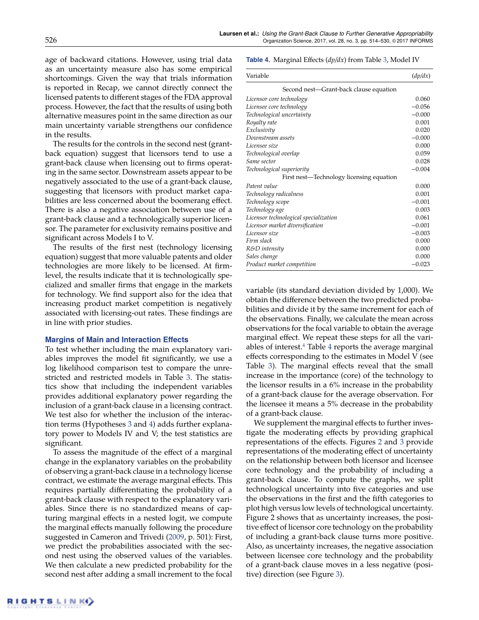age of backward citations. However, using trial data as an uncertainty measure also has some empirical shortcomings. Given the way that trials information is reported in Recap, we cannot directly connect the licensed patents to different stages of the FDA approval process. However, the fact that the results of using both alternative measures point in the same direction as our main uncertainty variable strengthens our confidence in the results.

The results for the controls in the second nest (grantback equation) suggest that licensors tend to use a grant-back clause when licensing out to firms operating in the same sector. Downstream assets appear to be negatively associated to the use of a grant-back clause, suggesting that licensors with product market capabilities are less concerned about the boomerang effect. There is also a negative association between use of a grant-back clause and a technologically superior licensor. The parameter for exclusivity remains positive and significant across Models I to V.

The results of the first nest (technology licensing equation) suggest that more valuable patents and older technologies are more likely to be licensed. At firmlevel, the results indicate that it is technologically specialized and smaller firms that engage in the markets for technology. We find support also for the idea that increasing product market competition is negatively associated with licensing-out rates. These findings are in line with prior studies.

#### **Margins of Main and Interaction Effects**

To test whether including the main explanatory variables improves the model fit significantly, we use a log likelihood comparison test to compare the unrestricted and restricted models in Table [3.](#page-12-0) The statistics show that including the independent variables provides additional explanatory power regarding the inclusion of a grant-back clause in a licensing contract. We test also for whether the inclusion of the interaction terms (Hypotheses [3](#page-5-0) and [4\)](#page-5-1) adds further explanatory power to Models IV and V; the test statistics are significant.

To assess the magnitude of the effect of a marginal change in the explanatory variables on the probability of observing a grant-back clause in a technology license contract, we estimate the average marginal effects. This requires partially differentiating the probability of a grant-back clause with respect to the explanatory variables. Since there is no standardized means of capturing marginal effects in a nested logit, we compute the marginal effects manually following the procedure suggested in Cameron and Trivedi [\(2009,](#page-16-44) p. 501): First, we predict the probabilities associated with the second nest using the observed values of the variables. We then calculate a new predicted probability for the second nest after adding a small increment to the focal <span id="page-13-0"></span>**Table 4.** Marginal Effects (*dp/dx*) from Table [3,](#page-12-0) Model IV

| Variable                                 | $\left(\frac{dp}{dx}\right)$ |  |  |  |  |
|------------------------------------------|------------------------------|--|--|--|--|
| Second nest—Grant-back clause equation   |                              |  |  |  |  |
| Licensor core technology                 | 0.060                        |  |  |  |  |
| Licensee core technology                 | $-0.056$                     |  |  |  |  |
| Technological uncertainty                | $-0.000$                     |  |  |  |  |
| Royalty rate                             | 0.001                        |  |  |  |  |
| Exclusivity                              | 0.020                        |  |  |  |  |
| Downstream assets                        | $-0.000$                     |  |  |  |  |
| Licensee size                            | 0.000                        |  |  |  |  |
| Technological overlap                    | 0.059                        |  |  |  |  |
| Same sector                              | 0.028                        |  |  |  |  |
| Technological superiority                | $-0.004$                     |  |  |  |  |
| First nest—Technology licensing equation |                              |  |  |  |  |
| Patent value                             | 0.000                        |  |  |  |  |
| Technology radicalness                   | 0.001                        |  |  |  |  |
| Technology scope                         | $-0.001$                     |  |  |  |  |
| Technology age                           | 0.003                        |  |  |  |  |
| Licensor technological specialization    | 0.061                        |  |  |  |  |
| Licensor market diversification          | $-0.001$                     |  |  |  |  |
| Licensor size                            | $-0.003$                     |  |  |  |  |
| Firm slack                               | 0.000                        |  |  |  |  |
| R&D intensity                            | 0.000                        |  |  |  |  |
| Sales change                             | 0.000                        |  |  |  |  |
| Product market competition               | $-0.023$                     |  |  |  |  |

<span id="page-13-1"></span>variable (its standard deviation divided by 1,000). We obtain the difference between the two predicted probabilities and divide it by the same increment for each of the observations. Finally, we calculate the mean across observations for the focal variable to obtain the average marginal effect. We repeat these steps for all the variables of interest. $4$  Table 4 reports the average marginal effects corresponding to the estimates in Model V (see Table [3\)](#page-12-0). The marginal effects reveal that the small increase in the importance (core) of the technology to the licensor results in a 6% increase in the probability of a grant-back clause for the average observation. For the licensee it means a 5% decrease in the probability of a grant-back clause.

We supplement the marginal effects to further investigate the moderating effects by providing graphical representations of the effects. Figures [2](#page-14-0) and [3](#page-14-1) provide representations of the moderating effect of uncertainty on the relationship between both licensor and licensee core technology and the probability of including a grant-back clause. To compute the graphs, we split technological uncertainty into five categories and use the observations in the first and the fifth categories to plot high versus low levels of technological uncertainty. Figure 2 shows that as uncertainty increases, the positive effect of licensor core technology on the probability of including a grant-back clause turns more positive. Also, as uncertainty increases, the negative association between licensee core technology and the probability of a grant-back clause moves in a less negative (positive) direction (see Figure [3\)](#page-14-1).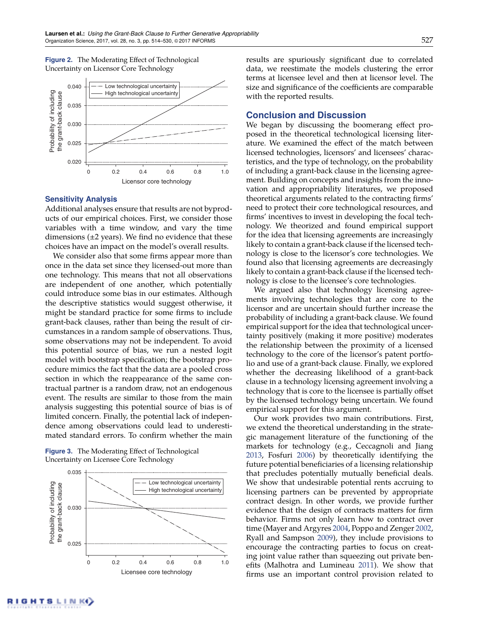<span id="page-14-0"></span>



#### **Sensitivity Analysis**

Additional analyses ensure that results are not byproducts of our empirical choices. First, we consider those variables with a time window, and vary the time dimensions  $(\pm 2 \text{ years})$ . We find no evidence that these choices have an impact on the model's overall results.

We consider also that some firms appear more than once in the data set since they licensed-out more than one technology. This means that not all observations are independent of one another, which potentially could introduce some bias in our estimates. Although the descriptive statistics would suggest otherwise, it might be standard practice for some firms to include grant-back clauses, rather than being the result of circumstances in a random sample of observations. Thus, some observations may not be independent. To avoid this potential source of bias, we run a nested logit model with bootstrap specification; the bootstrap procedure mimics the fact that the data are a pooled cross section in which the reappearance of the same contractual partner is a random draw, not an endogenous event. The results are similar to those from the main analysis suggesting this potential source of bias is of limited concern. Finally, the potential lack of independence among observations could lead to underestimated standard errors. To confirm whether the main

<span id="page-14-1"></span>**Figure 3.** The Moderating Effect of Technological Uncertainty on Licensee Core Technology



results are spuriously significant due to correlated data, we reestimate the models clustering the error terms at licensee level and then at licensor level. The size and significance of the coefficients are comparable with the reported results.

## **Conclusion and Discussion**

We began by discussing the boomerang effect proposed in the theoretical technological licensing literature. We examined the effect of the match between licensed technologies, licensors' and licensees' characteristics, and the type of technology, on the probability of including a grant-back clause in the licensing agreement. Building on concepts and insights from the innovation and appropriability literatures, we proposed theoretical arguments related to the contracting firms' need to protect their core technological resources, and firms' incentives to invest in developing the focal technology. We theorized and found empirical support for the idea that licensing agreements are increasingly likely to contain a grant-back clause if the licensed technology is close to the licensor's core technologies. We found also that licensing agreements are decreasingly likely to contain a grant-back clause if the licensed technology is close to the licensee's core technologies.

We argued also that technology licensing agreements involving technologies that are core to the licensor and are uncertain should further increase the probability of including a grant-back clause. We found empirical support for the idea that technological uncertainty positively (making it more positive) moderates the relationship between the proximity of a licensed technology to the core of the licensor's patent portfolio and use of a grant-back clause. Finally, we explored whether the decreasing likelihood of a grant-back clause in a technology licensing agreement involving a technology that is core to the licensee is partially offset by the licensed technology being uncertain. We found empirical support for this argument.

Our work provides two main contributions. First, we extend the theoretical understanding in the strategic management literature of the functioning of the markets for technology (e.g., Ceccagnoli and Jiang [2013,](#page-16-11) Fosfuri [2006\)](#page-16-12) by theoretically identifying the future potential beneficiaries of a licensing relationship that precludes potentially mutually beneficial deals. We show that undesirable potential rents accruing to licensing partners can be prevented by appropriate contract design. In other words, we provide further evidence that the design of contracts matters for firm behavior. Firms not only learn how to contract over time (Mayer and Argyres [2004,](#page-17-0) Poppo and Zenger [2002,](#page-17-34) Ryall and Sampson [2009\)](#page-17-1), they include provisions to encourage the contracting parties to focus on creating joint value rather than squeezing out private benefits (Malhotra and Lumineau [2011\)](#page-17-2). We show that firms use an important control provision related to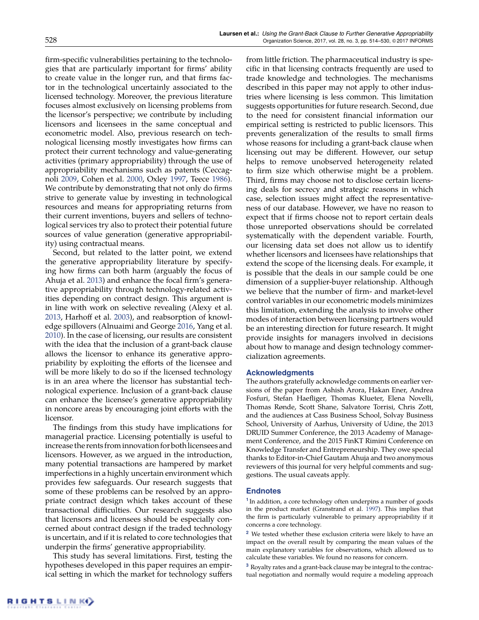firm-specific vulnerabilities pertaining to the technologies that are particularly important for firms' ability to create value in the longer run, and that firms factor in the technological uncertainly associated to the licensed technology. Moreover, the previous literature focuses almost exclusively on licensing problems from the licensor's perspective; we contribute by including licensors and licensees in the same conceptual and econometric model. Also, previous research on technological licensing mostly investigates how firms can protect their current technology and value-generating activities (primary appropriability) through the use of appropriability mechanisms such as patents (Ceccagnoli [2009,](#page-16-46) Cohen et al. [2000,](#page-16-47) Oxley [1997,](#page-17-3) Teece [1986\)](#page-17-35). We contribute by demonstrating that not only do firms strive to generate value by investing in technological resources and means for appropriating returns from their current inventions, buyers and sellers of technological services try also to protect their potential future sources of value generation (generative appropriability) using contractual means.

Second, but related to the latter point, we extend the generative appropriability literature by specifying how firms can both harm (arguably the focus of Ahuja et al. [2013\)](#page-16-7) and enhance the focal firm's generative appropriability through technology-related activities depending on contract design. This argument is in line with work on selective revealing (Alexy et al. [2013,](#page-16-8) Harhoff et al. [2003\)](#page-16-10), and reabsorption of knowledge spillovers (Alnuaimi and George [2016,](#page-16-22) Yang et al. [2010\)](#page-17-6). In the case of licensing, our results are consistent with the idea that the inclusion of a grant-back clause allows the licensor to enhance its generative appropriability by exploiting the efforts of the licensee and will be more likely to do so if the licensed technology is in an area where the licensor has substantial technological experience. Inclusion of a grant-back clause can enhance the licensee's generative appropriability in noncore areas by encouraging joint efforts with the licensor.

The findings from this study have implications for managerial practice. Licensing potentially is useful to increase the rents from innovation for both licensees and licensors. However, as we argued in the introduction, many potential transactions are hampered by market imperfections in a highly uncertain environment which provides few safeguards. Our research suggests that some of these problems can be resolved by an appropriate contract design which takes account of these transactional difficulties. Our research suggests also that licensors and licensees should be especially concerned about contract design if the traded technology is uncertain, and if it is related to core technologies that underpin the firms' generative appropriability.

This study has several limitations. First, testing the hypotheses developed in this paper requires an empirical setting in which the market for technology suffers from little friction. The pharmaceutical industry is specific in that licensing contracts frequently are used to trade knowledge and technologies. The mechanisms described in this paper may not apply to other industries where licensing is less common. This limitation suggests opportunities for future research. Second, due to the need for consistent financial information our empirical setting is restricted to public licensors. This prevents generalization of the results to small firms whose reasons for including a grant-back clause when licensing out may be different. However, our setup helps to remove unobserved heterogeneity related to firm size which otherwise might be a problem. Third, firms may choose not to disclose certain licensing deals for secrecy and strategic reasons in which case, selection issues might affect the representativeness of our database. However, we have no reason to expect that if firms choose not to report certain deals those unreported observations should be correlated systematically with the dependent variable. Fourth, our licensing data set does not allow us to identify whether licensors and licensees have relationships that extend the scope of the licensing deals. For example, it is possible that the deals in our sample could be one dimension of a supplier-buyer relationship. Although we believe that the number of firm- and market-level control variables in our econometric models minimizes this limitation, extending the analysis to involve other modes of interaction between licensing partners would be an interesting direction for future research. It might provide insights for managers involved in decisions about how to manage and design technology commercialization agreements.

#### **Acknowledgments**

The authors gratefully acknowledge comments on earlier versions of the paper from Ashish Arora, Hakan Ener, Andrea Fosfuri, Stefan Haefliger, Thomas Klueter, Elena Novelli, Thomas Rønde, Scott Shane, Salvatore Torrisi, Chris Zott, and the audiences at Cass Business School, Solvay Business School, University of Aarhus, University of Udine, the 2013 DRUID Summer Conference, the 2013 Academy of Management Conference, and the 2015 FinKT Rimini Conference on Knowledge Transfer and Entrepreneurship. They owe special thanks to Editor-in-Chief Gautam Ahuja and two anonymous reviewers of this journal for very helpful comments and suggestions. The usual caveats apply.

#### **Endnotes**

<span id="page-15-0"></span>**[1](#page-3-0)** In addition, a core technology often underpins a number of goods in the product market (Granstrand et al. [1997\)](#page-16-48). This implies that the firm is particularly vulnerable to primary appropriability if it concerns a core technology.

<span id="page-15-1"></span>**[2](#page-6-0)** We tested whether these exclusion criteria were likely to have an impact on the overall result by comparing the mean values of the main explanatory variables for observations, which allowed us to calculate these variables. We found no reasons for concern.

<span id="page-15-2"></span>**[3](#page-7-0)** Royalty rates and a grant-back clause may be integral to the contractual negotiation and normally would require a modeling approach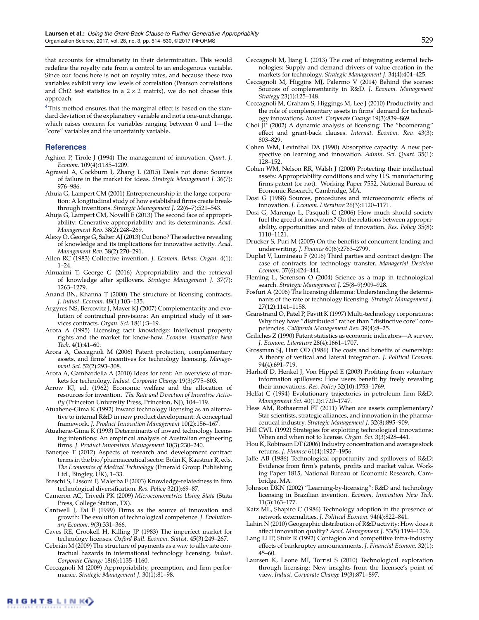that accounts for simultaneity in their determination. This would redefine the royalty rate from a control to an endogenous variable. Since our focus here is not on royalty rates, and because these two variables exhibit very low levels of correlation (Pearson correlations and Chi2 test statistics in a  $2 \times 2$  matrix), we do not choose this approach.

<span id="page-16-45"></span>**[4](#page-13-1)**This method ensures that the marginal effect is based on the standard deviation of the explanatory variable and not a one-unit change, which raises concern for variables ranging between 0 and 1—the "core" variables and the uncertainty variable.

#### **References**

- <span id="page-16-19"></span>Aghion P, Tirole J (1994) The management of innovation. *Quart. J. Econom.* 109(4):1185–1209.
- <span id="page-16-0"></span>Agrawal A, Cockburn I, Zhang L (2015) Deals not done: Sources of failure in the market for ideas. *Strategic Management J.* 36(7): 976–986.
- <span id="page-16-35"></span>Ahuja G, Lampert CM (2001) Entrepreneurship in the large corporation: A longitudinal study of how established firms create breakthrough inventions. *Strategic Management J.* 22(6–7):521–543.
- <span id="page-16-7"></span>Ahuja G, Lampert CM, Novelli E (2013) The second face of appropriability: Generative appropriability and its determinants. *Acad. Management Rev.* 38(2):248–269.
- <span id="page-16-8"></span>Alexy O, George G, Salter AJ (2013) Cui bono? The selective revealing of knowledge and its implications for innovative activity. *Acad. Management Rev.* 38(2):270–291.
- <span id="page-16-9"></span>Allen RC (1983) Collective invention. *J. Econom. Behav. Organ.* 4(1): 1–24.
- <span id="page-16-22"></span>Alnuaimi T, George G (2016) Appropriability and the retrieval of knowledge after spillovers. *Strategic Management J.* 37(7): 1263–1279.
- <span id="page-16-14"></span>Anand BN, Khanna T (2000) The structure of licensing contracts. *J. Indust. Econom.* 48(1):103–135.
- <span id="page-16-4"></span>Argyres NS, Bercovitz J, Mayer KJ (2007) Complementarity and evolution of contractual provisions: An empirical study of it services contracts. *Organ. Sci.* 18(1):3–19.
- <span id="page-16-1"></span>Arora A (1995) Licensing tacit knowledge: Intellectual property rights and the market for know-how. *Econom. Innovation New Tech.* 4(1):41–60.
- <span id="page-16-33"></span>Arora A, Ceccagnoli M (2006) Patent protection, complementary assets, and firms' incentives for technology licensing. *Management Sci.* 52(2):293–308.
- <span id="page-16-3"></span>Arora A, Gambardella A (2010) Ideas for rent: An overview of markets for technology. *Indust. Corporate Change* 19(3):775–803.
- <span id="page-16-2"></span>Arrow KJ, ed. (1962) Economic welfare and the allocation of resources for invention. *The Rate and Direction of Inventive Activity* (Princeton University Press, Princeton, NJ), 104–119.
- <span id="page-16-23"></span>Atuahene-Gima K (1992) Inward technology licensing as an alternative to internal R&D in new product development: A conceptual framework. *J. Product Innovation Management* 10(2):156–167.
- <span id="page-16-24"></span>Atuahene-Gima K (1993) Determinants of inward technology licensing intentions: An empirical analysis of Australian engineering firms. *J. Product Innovation Management* 10(3):230–240.
- <span id="page-16-43"></span>Banerjee T (2012) Aspects of research and development contract terms in the bio/pharmaceutical sector. Bolin K, Kaestner R, eds. *The Economics of Medical Technology* (Emerald Group Publishing Ltd., Bingley, UK), 1–33.
- <span id="page-16-18"></span>Breschi S, Lissoni F, Malerba F (2003) Knowledge-relatedness in firm technological diversification. *Res. Policy* 32(1):69–87.
- <span id="page-16-44"></span>Cameron AC, Trivedi PK (2009) *Microeconometrics Using Stata* (Stata Press, College Station, TX).
- <span id="page-16-17"></span>Cantwell J, Fai F (1999) Firms as the source of innovation and growth: The evolution of technological competence. *J. Evolutionary Econom.* 9(3):331–366.
- <span id="page-16-21"></span>Caves RE, Crookell H, Killing JP (1983) The imperfect market for technology licenses. *Oxford Bull. Econom. Statist.* 45(3):249–267.
- <span id="page-16-5"></span>Cebrián M (2009) The structure of payments as a way to alleviate contractual hazards in international technology licensing. *Indust. Corporate Change* 18(6):1135–1160.
- <span id="page-16-46"></span>Ceccagnoli M (2009) Appropriability, preemption, and firm performance. *Strategic Management J.* 30(1):81–98.
- <span id="page-16-11"></span>Ceccagnoli M, Jiang L (2013) The cost of integrating external technologies: Supply and demand drivers of value creation in the markets for technology. *Strategic Management J.* 34(4):404–425.
- <span id="page-16-31"></span>Ceccagnoli M, Higgins MJ, Palermo V (2014) Behind the scenes: Sources of complementarity in R&D. *J. Econom. Management Strategy* 23(1):125–148.
- <span id="page-16-30"></span>Ceccagnoli M, Graham S, Higgings M, Lee J (2010) Productivity and the role of complementary assets in firms' demand for technology innovations. *Indust. Corporate Change* 19(3):839–869.
- <span id="page-16-15"></span>Choi JP (2002) A dynamic analysis of licensing: The "boomerang" effect and grant-back clauses. *Internat. Econom. Rev.* 43(3): 803–829.
- <span id="page-16-28"></span>Cohen WM, Levinthal DA (1990) Absorptive capacity: A new perspective on learning and innovation. *Admin. Sci. Quart.* 35(1): 128–152.
- <span id="page-16-47"></span>Cohen WM, Nelson RR, Walsh J (2000) Protecting their intellectual assets: Appropriability conditions and why U.S. manufacturing firms patent (or not). Working Paper 7552, National Bureau of Economic Research, Cambridge, MA.
- <span id="page-16-16"></span>Dosi G (1988) Sources, procedures and microeconomic effects of innovation. *J. Econom. Literature* 26(3):1120–1171.
- <span id="page-16-38"></span>Dosi G, Marengo L, Pasquali C (2006) How much should society fuel the greed of innovators? On the relations between appropriability, opportunities and rates of innovation. *Res. Policy* 35(8): 1110–1121.
- <span id="page-16-42"></span>Drucker S, Puri M (2005) On the benefits of concurrent lending and underwriting. *J. Finance* 60(6):2763–2799.
- <span id="page-16-6"></span>Duplat V, Lumineau F (2016) Third parties and contract design: The case of contracts for technology transfer. *Managerial Decision Econom.* 37(6):424–444.
- <span id="page-16-29"></span>Fleming L, Sorenson O (2004) Science as a map in technological search. *Strategic Management J.* 25(8–9):909–928.
- <span id="page-16-12"></span>Fosfuri A (2006) The licensing dilemma: Understanding the determinants of the rate of technology licensing. *Strategic Management J.* 27(12):1141–1158.
- <span id="page-16-48"></span>Granstrand O, Patel P, Pavitt K (1997) Multi-technology corporations: Why they have "distributed" rather than "distinctive core" competencies. *California Management Rev.* 39(4):8–25.
- <span id="page-16-34"></span>Griliches Z (1990) Patent statistics as economic indicators—A survey. *J. Econom. Literature* 28(4):1661–1707.
- <span id="page-16-20"></span>Grossman SJ, Hart OD (1986) The costs and benefits of ownership: A theory of vertical and lateral integration. *J. Political Econom.* 94(4):691–719.
- <span id="page-16-10"></span>Harhoff D, Henkel J, Von Hippel E (2003) Profiting from voluntary information spillovers: How users benefit by freely revealing their innovations. *Res. Policy* 32(10):1753–1769.
- <span id="page-16-27"></span>Helfat C (1994) Evolutionary trajectories in petroleum firm R&D. *Management Sci.* 40(12):1720–1747.
- <span id="page-16-32"></span>Hess AM, Rothaermel FT (2011) When are assets complementary? Star scientists, strategic alliances, and innovation in the pharmaceutical industry. *Strategic Management J.* 32(8):895–909.
- <span id="page-16-13"></span>Hill CWL (1992) Strategies for exploiting technological innovations: When and when not to license. *Organ. Sci.* 3(3):428–441.
- <span id="page-16-40"></span>Hou K, Robinson DT (2006) Industry concentration and average stock returns. *J. Finance* 61(4):1927–1956.
- <span id="page-16-36"></span>Jaffe AB (1986) Technological opportunity and spillovers of R&D: Evidence from firm's patents, profits and market value. Working Paper 1815, National Bureau of Economic Research, Cambridge, MA.
- <span id="page-16-25"></span>Johnson DKN (2002) "Learning-by-licensing": R&D and technology licensing in Brazilian invention. *Econom. Innovation New Tech.* 11(3):163–177.
- <span id="page-16-39"></span>Katz ML, Shapiro C (1986) Technology adoption in the presence of network externalities. *J. Political Econom.* 94(4):822–841.
- <span id="page-16-37"></span>Lahiri N (2010) Geographic distribution of R&D activity: How does it affect innovation quality? *Acad. Management J.* 53(5):1194–1209.
- <span id="page-16-41"></span>Lang LHP, Stulz R (1992) Contagion and competitive intra-industry effects of bankruptcy announcements. *J. Financial Econom.* 32(1): 45–60.
- <span id="page-16-26"></span>Laursen K, Leone MI, Torrisi S (2010) Technological exploration through licensing: New insights from the licensee's point of view. *Indust. Corporate Change* 19(3):871–897.